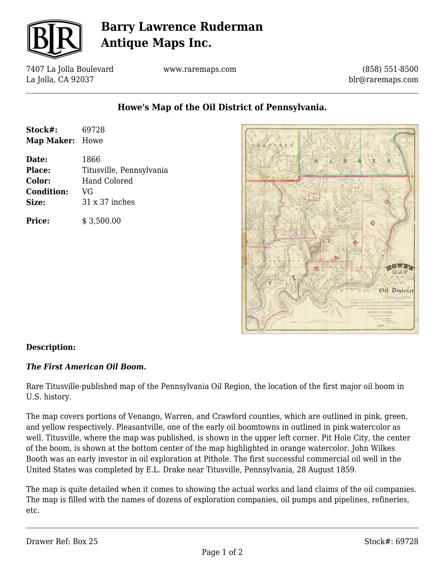

# **Barry Lawrence Ruderman Antique Maps Inc.**

7407 La Jolla Boulevard La Jolla, CA 92037

www.raremaps.com

(858) 551-8500 blr@raremaps.com

**Howe's Map of the Oil District of Pennsylvania.**

| Stock#:           | 69728                    |
|-------------------|--------------------------|
| Map Maker: Howe   |                          |
| Date:             | 1866                     |
| <b>Place:</b>     | Titusville, Pennsylvania |
| Color:            | <b>Hand Colored</b>      |
| <b>Condition:</b> | VG                       |
| Size:             | 31 x 37 inches           |
| Price:            | \$3,500.00               |



## **Description:**

## *The First American Oil Boom.*

Rare Titusville-published map of the Pennsylvania Oil Region, the location of the first major oil boom in U.S. history.

The map covers portions of Venango, Warren, and Crawford counties, which are outlined in pink, green, and yellow respectively. Pleasantville, one of the early oil boomtowns in outlined in pink watercolor as well. Titusville, where the map was published, is shown in the upper left corner. Pit Hole City, the center of the boom, is shown at the bottom center of the map highlighted in orange watercolor. John Wilkes Booth was an early investor in oil exploration at Pithole. The first successful commercial oil well in the United States was completed by E.L. Drake near Titusville, Pennsylvania, 28 August 1859.

The map is quite detailed when it comes to showing the actual works and land claims of the oil companies. The map is filled with the names of dozens of exploration companies, oil pumps and pipelines, refineries, etc.